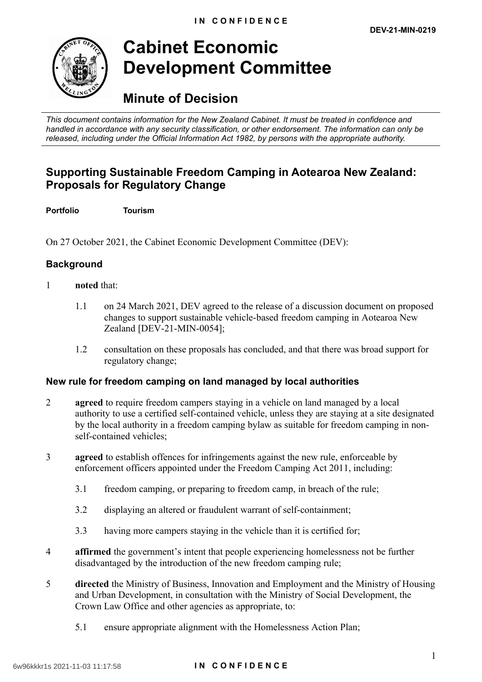

# **Cabinet Economic Development Committee**

## **Minute of Decision**

 *This document contains information for the New Zealand Cabinet. It must be treated in confidence and handled in accordance with any security classification, or other endorsement. The information can only be released, including under the Official Information Act 1982, by persons with the appropriate authority.* 

### **Supporting Sustainable Freedom Camping in Aotearoa New Zealand: Proposals for Regulatory Change**

**Portfolio Tourism** 

On 27 October 2021, the Cabinet Economic Development Committee (DEV):

#### **Background**

- 1 **noted** that:
	- 1.1 on 24 March 2021, DEV agreed to the release of a discussion document on proposed changes to support sustainable vehicle-based freedom camping in Aotearoa New Zealand [DEV-21-MIN-0054];
	- 1.2 consultation on these proposals has concluded, and that there was broad support for regulatory change;

#### **New rule for freedom camping on land managed by local authorities**

- 2 **agreed** to require freedom campers staying in a vehicle on land managed by a local authority to use a certified self-contained vehicle, unless they are staying at a site designated by the local authority in a freedom camping bylaw as suitable for freedom camping in nonself-contained vehicles;
- 3 **agreed** to establish offences for infringements against the new rule, enforceable by enforcement officers appointed under the Freedom Camping Act 2011, including:
	- 3.1 freedom camping, or preparing to freedom camp, in breach of the rule;
	- 3.2 displaying an altered or fraudulent warrant of self-containment;
	- 3.3 having more campers staying in the vehicle than it is certified for;
- 4 **affirmed** the government's intent that people experiencing homelessness not be further disadvantaged by the introduction of the new freedom camping rule;
- 5 **directed** the Ministry of Business, Innovation and Employment and the Ministry of Housing and Urban Development, in consultation with the Ministry of Social Development, the Crown Law Office and other agencies as appropriate, to:
	- 5.1 ensure appropriate alignment with the Homelessness Action Plan;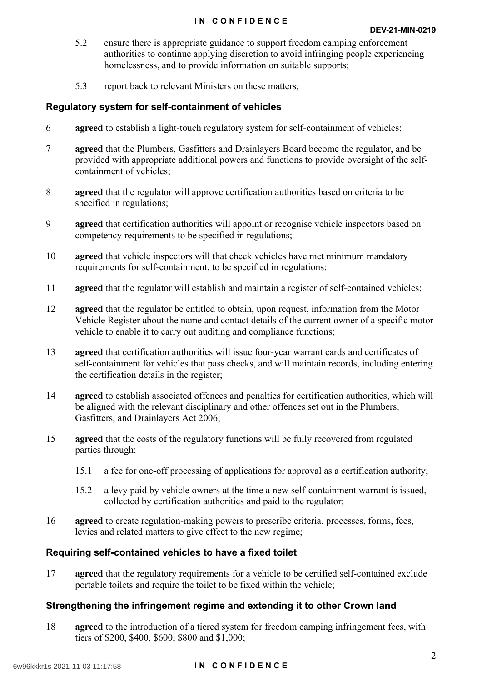#### **IN CONFIDENCE**

- 5.2 ensure there is appropriate guidance to support freedom camping enforcement authorities to continue applying discretion to avoid infringing people experiencing homelessness, and to provide information on suitable supports;
- 5.3 report back to relevant Ministers on these matters;

#### **Regulatory system for self-containment of vehicles**

- 6 **agreed** to establish a light-touch regulatory system for self-containment of vehicles;
- 7 **agreed** that the Plumbers, Gasfitters and Drainlayers Board become the regulator, and be provided with appropriate additional powers and functions to provide oversight of the selfcontainment of vehicles;
- 8 **agreed** that the regulator will approve certification authorities based on criteria to be specified in regulations;
- 9 **agreed** that certification authorities will appoint or recognise vehicle inspectors based on competency requirements to be specified in regulations;
- 10 **agreed** that vehicle inspectors will that check vehicles have met minimum mandatory requirements for self-containment, to be specified in regulations;
- 11 **agreed** that the regulator will establish and maintain a register of self-contained vehicles;
- 12 **agreed** that the regulator be entitled to obtain, upon request, information from the Motor Vehicle Register about the name and contact details of the current owner of a specific motor vehicle to enable it to carry out auditing and compliance functions;
- 13 **agreed** that certification authorities will issue four-year warrant cards and certificates of self-containment for vehicles that pass checks, and will maintain records, including entering the certification details in the register;
- 14 **agreed** to establish associated offences and penalties for certification authorities, which will be aligned with the relevant disciplinary and other offences set out in the Plumbers, Gasfitters, and Drainlayers Act 2006;
- 15 **agreed** that the costs of the regulatory functions will be fully recovered from regulated parties through:
	- 15.1 a fee for one-off processing of applications for approval as a certification authority;
	- 15.2 a levy paid by vehicle owners at the time a new self-containment warrant is issued, collected by certification authorities and paid to the regulator;
- 16 **agreed** to create regulation-making powers to prescribe criteria, processes, forms, fees, levies and related matters to give effect to the new regime;

#### **Requiring self-contained vehicles to have a fixed toilet**

17 **agreed** that the regulatory requirements for a vehicle to be certified self-contained exclude portable toilets and require the toilet to be fixed within the vehicle;

#### **Strengthening the infringement regime and extending it to other Crown land**

18 **agreed** to the introduction of a tiered system for freedom camping infringement fees, with tiers of \$200, \$400, \$600, \$800 and \$1,000;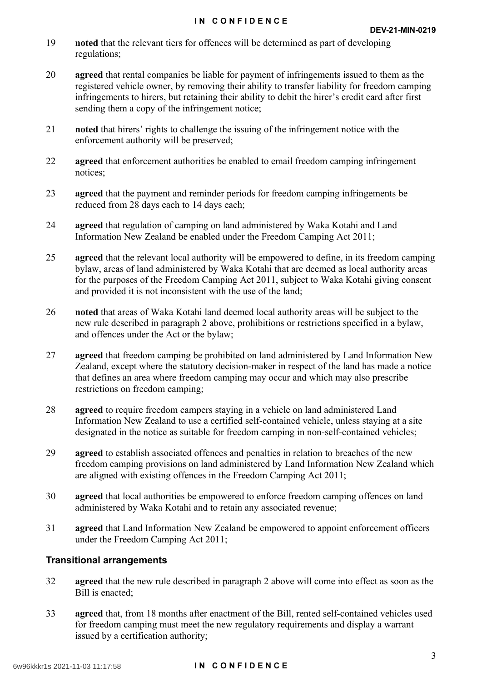- 19 **noted** that the relevant tiers for offences will be determined as part of developing regulations;
- 20 **agreed** that rental companies be liable for payment of infringements issued to them as the registered vehicle owner, by removing their ability to transfer liability for freedom camping infringements to hirers, but retaining their ability to debit the hirer's credit card after first sending them a copy of the infringement notice;
- 21 **noted** that hirers' rights to challenge the issuing of the infringement notice with the enforcement authority will be preserved;
- 22 **agreed** that enforcement authorities be enabled to email freedom camping infringement notices;
- 23 **agreed** that the payment and reminder periods for freedom camping infringements be reduced from 28 days each to 14 days each;
- 24 **agreed** that regulation of camping on land administered by Waka Kotahi and Land Information New Zealand be enabled under the Freedom Camping Act 2011;
- 25 **agreed** that the relevant local authority will be empowered to define, in its freedom camping bylaw, areas of land administered by Waka Kotahi that are deemed as local authority areas for the purposes of the Freedom Camping Act 2011, subject to Waka Kotahi giving consent and provided it is not inconsistent with the use of the land;
- 26 **noted** that areas of Waka Kotahi land deemed local authority areas will be subject to the new rule described in paragraph 2 above, prohibitions or restrictions specified in a bylaw, and offences under the Act or the bylaw;
- 27 **agreed** that freedom camping be prohibited on land administered by Land Information New Zealand, except where the statutory decision-maker in respect of the land has made a notice that defines an area where freedom camping may occur and which may also prescribe restrictions on freedom camping;
- 28 **agreed** to require freedom campers staying in a vehicle on land administered Land Information New Zealand to use a certified self-contained vehicle, unless staying at a site designated in the notice as suitable for freedom camping in non-self-contained vehicles;
- 29 **agreed** to establish associated offences and penalties in relation to breaches of the new freedom camping provisions on land administered by Land Information New Zealand which are aligned with existing offences in the Freedom Camping Act 2011;
- 30 **agreed** that local authorities be empowered to enforce freedom camping offences on land administered by Waka Kotahi and to retain any associated revenue;
- 31 **agreed** that Land Information New Zealand be empowered to appoint enforcement officers under the Freedom Camping Act 2011;

#### **Transitional arrangements**

- 32 **agreed** that the new rule described in paragraph 2 above will come into effect as soon as the Bill is enacted;
- 33 **agreed** that, from 18 months after enactment of the Bill, rented self-contained vehicles used for freedom camping must meet the new regulatory requirements and display a warrant issued by a certification authority;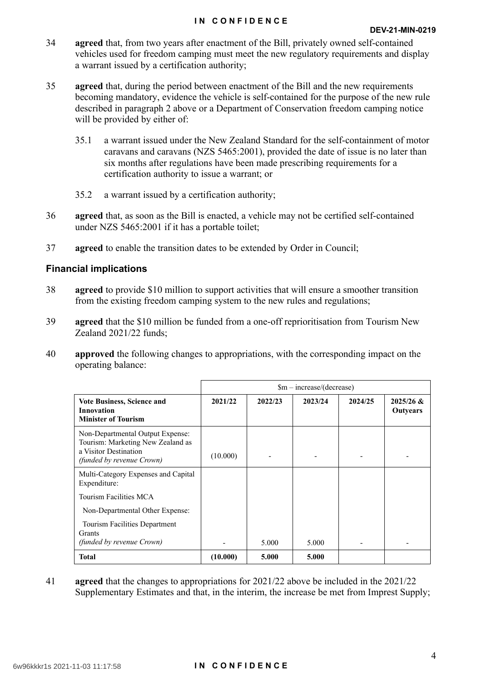#### **IN CONFIDENCE**

- 34 **agreed** that, from two years after enactment of the Bill, privately owned self-contained vehicles used for freedom camping must meet the new regulatory requirements and display a warrant issued by a certification authority;
- 35 **agreed** that, during the period between enactment of the Bill and the new requirements becoming mandatory, evidence the vehicle is self-contained for the purpose of the new rule described in paragraph 2 above or a Department of Conservation freedom camping notice will be provided by either of:
	- 35.1 a warrant issued under the New Zealand Standard for the self-containment of motor caravans and caravans (NZS 5465:2001), provided the date of issue is no later than six months after regulations have been made prescribing requirements for a certification authority to issue a warrant; or
	- 35.2 a warrant issued by a certification authority;
- 36 **agreed** that, as soon as the Bill is enacted, a vehicle may not be certified self-contained under NZS 5465:2001 if it has a portable toilet;
- 37 **agreed** to enable the transition dates to be extended by Order in Council;

#### **Financial implications**

- 38 **agreed** to provide \$10 million to support activities that will ensure a smoother transition from the existing freedom camping system to the new rules and regulations;
- 39 **agreed** that the \$10 million be funded from a one-off reprioritisation from Tourism New Zealand 2021/22 funds;
- 40 **approved** the following changes to appropriations, with the corresponding impact on the operating balance:

|                                                                                                                                    | $\text{Sm}-\text{increase}/(\text{decrease})$ |         |         |         |                                |
|------------------------------------------------------------------------------------------------------------------------------------|-----------------------------------------------|---------|---------|---------|--------------------------------|
| Vote Business, Science and<br><b>Innovation</b><br><b>Minister of Tourism</b>                                                      | 2021/22                                       | 2022/23 | 2023/24 | 2024/25 | $2025/26$ &<br><b>Outyears</b> |
| Non-Departmental Output Expense:<br>Tourism: Marketing New Zealand as<br>a Visitor Destination<br><i>(funded by revenue Crown)</i> | (10.000)                                      |         |         |         |                                |
| Multi-Category Expenses and Capital<br>Expenditure:                                                                                |                                               |         |         |         |                                |
| Tourism Facilities MCA                                                                                                             |                                               |         |         |         |                                |
| Non-Departmental Other Expense:                                                                                                    |                                               |         |         |         |                                |
| Tourism Facilities Department<br><b>Grants</b><br><i>(funded by revenue Crown)</i>                                                 |                                               | 5.000   | 5.000   |         |                                |
| <b>Total</b>                                                                                                                       | (10.000)                                      | 5.000   | 5.000   |         |                                |

41 **agreed** that the changes to appropriations for 2021/22 above be included in the 2021/22 Supplementary Estimates and that, in the interim, the increase be met from Imprest Supply;